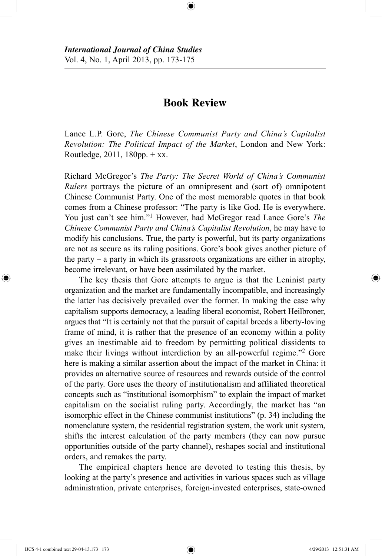## **Book Review**

⊕

Lance L.P. Gore, *The Chinese Communist Party and China's Capitalist Revolution: The Political Impact of the Market*, London and New York: Routledge,  $2011$ ,  $180$ pp.  $+$  xx.

Richard McGregor's *The Party: The Secret World of China's Communist Rulers* portrays the picture of an omnipresent and (sort of) omnipotent Chinese Communist Party. One of the most memorable quotes in that book comes from a Chinese professor: "The party is like God. He is everywhere. You just can't see him."<sup>1</sup> However, had McGregor read Lance Gore's *The Chinese Communist Party and China's Capitalist Revolution*, he may have to modify his conclusions. True, the party is powerful, but its party organizations are not as secure as its ruling positions. Gore's book gives another picture of the party – a party in which its grassroots organizations are either in atrophy, become irrelevant, or have been assimilated by the market.

The key thesis that Gore attempts to argue is that the Leninist party organization and the market are fundamentally incompatible, and increasingly the latter has decisively prevailed over the former. In making the case why capitalism supports democracy, a leading liberal economist, Robert Heilbroner, argues that "It is certainly not that the pursuit of capital breeds a liberty-loving frame of mind, it is rather that the presence of an economy within a polity gives an inestimable aid to freedom by permitting political dissidents to make their livings without interdiction by an all-powerful regime."<sup>2</sup> Gore here is making a similar assertion about the impact of the market in China: it provides an alternative source of resources and rewards outside of the control of the party. Gore uses the theory of institutionalism and affiliated theoretical concepts such as "institutional isomorphism" to explain the impact of market capitalism on the socialist ruling party. Accordingly, the market has "an isomorphic effect in the Chinese communist institutions" (p. 34) including the nomenclature system, the residential registration system, the work unit system, shifts the interest calculation of the party members (they can now pursue opportunities outside of the party channel), reshapes social and institutional orders, and remakes the party.

The empirical chapters hence are devoted to testing this thesis, by looking at the party's presence and activities in various spaces such as village administration, private enterprises, foreign-invested enterprises, state-owned

⊕

⊕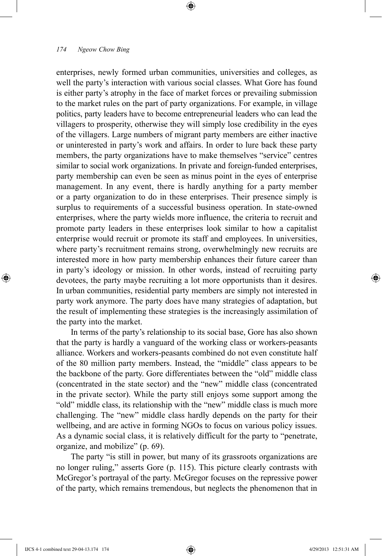## *174 Ngeow Chow Bing*

enterprises, newly formed urban communities, universities and colleges, as well the party's interaction with various social classes. What Gore has found is either party's atrophy in the face of market forces or prevailing submission to the market rules on the part of party organizations. For example, in village politics, party leaders have to become entrepreneurial leaders who can lead the villagers to prosperity, otherwise they will simply lose credibility in the eyes of the villagers. Large numbers of migrant party members are either inactive or uninterested in party's work and affairs. In order to lure back these party members, the party organizations have to make themselves "service" centres similar to social work organizations. In private and foreign-funded enterprises, party membership can even be seen as minus point in the eyes of enterprise management. In any event, there is hardly anything for a party member or a party organization to do in these enterprises. Their presence simply is surplus to requirements of a successful business operation. In state-owned enterprises, where the party wields more influence, the criteria to recruit and promote party leaders in these enterprises look similar to how a capitalist enterprise would recruit or promote its staff and employees. In universities, where party's recruitment remains strong, overwhelmingly new recruits are interested more in how party membership enhances their future career than in party's ideology or mission. In other words, instead of recruiting party devotees, the party maybe recruiting a lot more opportunists than it desires. In urban communities, residential party members are simply not interested in party work anymore. The party does have many strategies of adaptation, but the result of implementing these strategies is the increasingly assimilation of the party into the market.

⊕

In terms of the party's relationship to its social base, Gore has also shown that the party is hardly a vanguard of the working class or workers-peasants alliance. Workers and workers-peasants combined do not even constitute half of the 80 million party members. Instead, the "middle" class appears to be the backbone of the party. Gore differentiates between the "old" middle class (concentrated in the state sector) and the "new" middle class (concentrated in the private sector). While the party still enjoys some support among the "old" middle class, its relationship with the "new" middle class is much more challenging. The "new" middle class hardly depends on the party for their wellbeing, and are active in forming NGOs to focus on various policy issues. As a dynamic social class, it is relatively difficult for the party to "penetrate, organize, and mobilize" (p. 69).

The party "is still in power, but many of its grassroots organizations are no longer ruling," asserts Gore (p. 115). This picture clearly contrasts with McGregor's portrayal of the party. McGregor focuses on the repressive power of the party, which remains tremendous, but neglects the phenomenon that in

⊕

⊕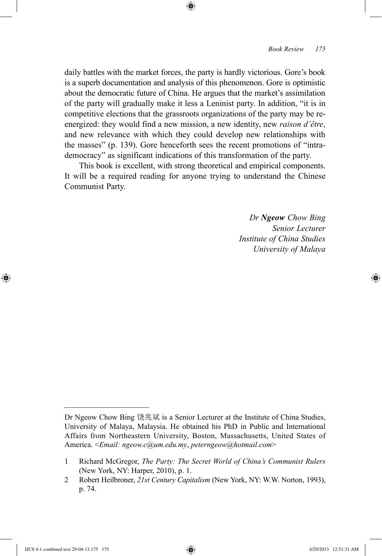daily battles with the market forces, the party is hardly victorious. Gore's book is a superb documentation and analysis of this phenomenon. Gore is optimistic about the democratic future of China. He argues that the market's assimilation of the party will gradually make it less a Leninist party. In addition, "it is in competitive elections that the grassroots organizations of the party may be reenergized: they would find a new mission, a new identity, new *raison d'être*, and new relevance with which they could develop new relationships with the masses" (p. 139). Gore henceforth sees the recent promotions of "intrademocracy" as significant indications of this transformation of the party.

⊕

This book is excellent, with strong theoretical and empirical components. It will be a required reading for anyone trying to understand the Chinese Communist Party.

> *Dr Ngeow Chow Bing Senior Lecturer Institute of China Studies University of Malaya*

⊕

↔

Dr Ngeow Chow Bing 饶兆斌 is a Senior Lecturer at the Institute of China Studies, University of Malaya, Malaysia. He obtained his PhD in Public and International Affairs from Northeastern University, Boston, Massachusetts, United States of America. <*Email: ngeow.c@um.edu.my*, *peterngeow@hotmail.com*>

<sup>1</sup> Richard McGregor, *The Party: The Secret World of China's Communist Rulers* (New York, NY: Harper, 2010), p. 1.

<sup>2</sup> Robert Heilbroner, *21st Century Capitalism* (New York, NY: W.W. Norton, 1993), p. 74.